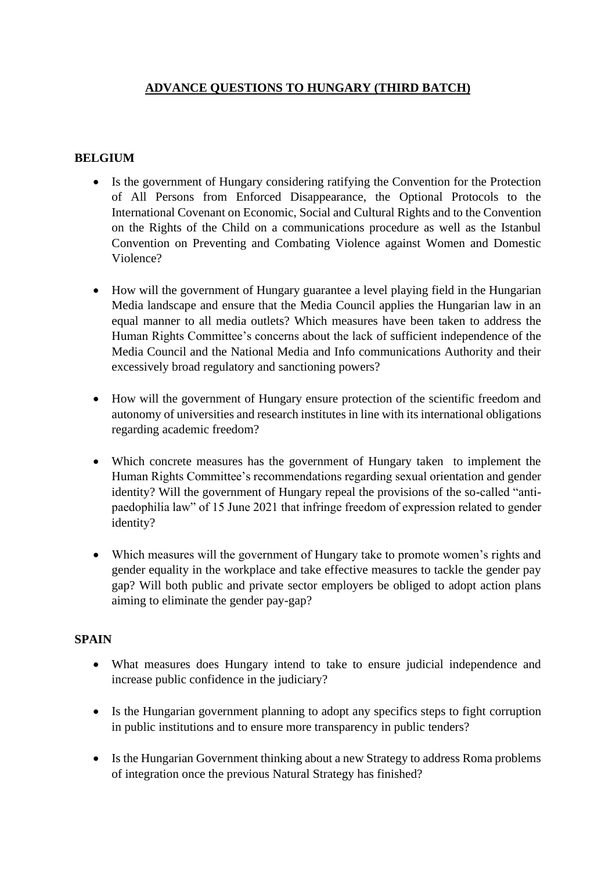## **ADVANCE QUESTIONS TO HUNGARY (THIRD BATCH)**

## **BELGIUM**

- Is the government of Hungary considering ratifying the Convention for the Protection of All Persons from Enforced Disappearance, the Optional Protocols to the International Covenant on Economic, Social and Cultural Rights and to the Convention on the Rights of the Child on a communications procedure as well as the Istanbul Convention on Preventing and Combating Violence against Women and Domestic Violence?
- How will the government of Hungary guarantee a level playing field in the Hungarian Media landscape and ensure that the Media Council applies the Hungarian law in an equal manner to all media outlets? Which measures have been taken to address the Human Rights Committee's concerns about the lack of sufficient independence of the Media Council and the National Media and Info communications Authority and their excessively broad regulatory and sanctioning powers?
- How will the government of Hungary ensure protection of the scientific freedom and autonomy of universities and research institutes in line with its international obligations regarding academic freedom?
- Which concrete measures has the government of Hungary taken to implement the Human Rights Committee's recommendations regarding sexual orientation and gender identity? Will the government of Hungary repeal the provisions of the so-called "antipaedophilia law" of 15 June 2021 that infringe freedom of expression related to gender identity?
- Which measures will the government of Hungary take to promote women's rights and gender equality in the workplace and take effective measures to tackle the gender pay gap? Will both public and private sector employers be obliged to adopt action plans aiming to eliminate the gender pay-gap?

## **SPAIN**

- What measures does Hungary intend to take to ensure judicial independence and increase public confidence in the judiciary?
- Is the Hungarian government planning to adopt any specifics steps to fight corruption in public institutions and to ensure more transparency in public tenders?
- Is the Hungarian Government thinking about a new Strategy to address Roma problems of integration once the previous Natural Strategy has finished?